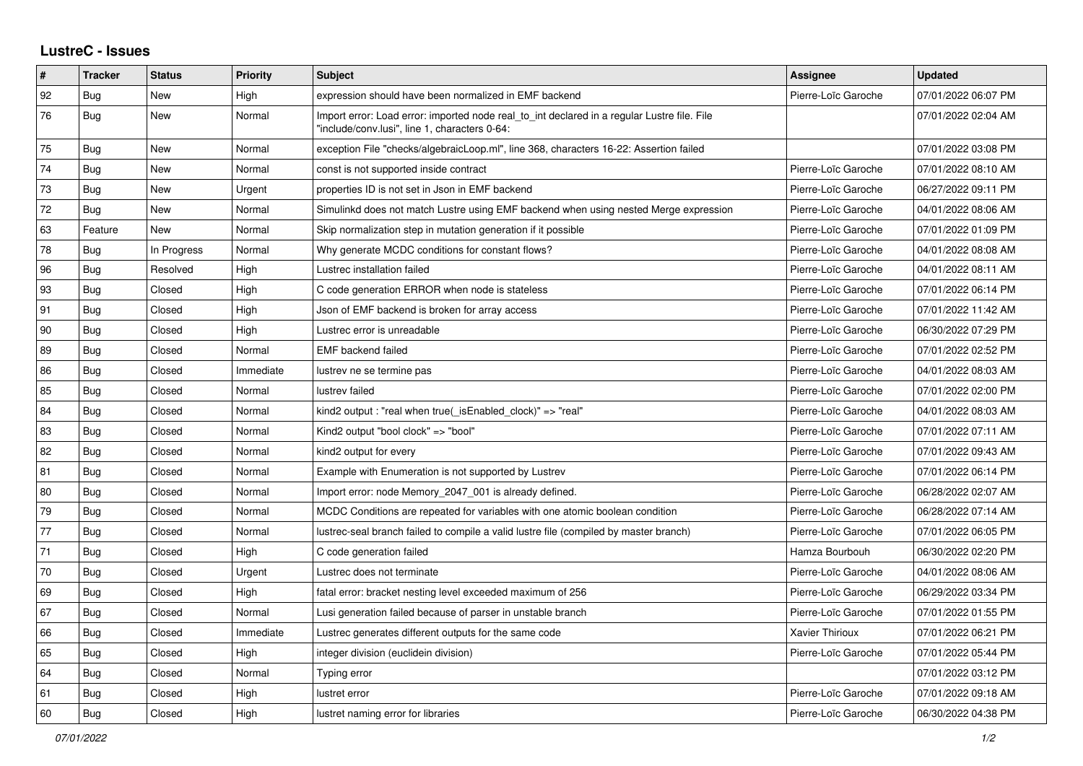## **LustreC - Issues**

| ∦  | <b>Tracker</b> | <b>Status</b> | <b>Priority</b> | <b>Subject</b>                                                                                                                               | Assignee            | <b>Updated</b>      |
|----|----------------|---------------|-----------------|----------------------------------------------------------------------------------------------------------------------------------------------|---------------------|---------------------|
| 92 | Bug            | New           | High            | expression should have been normalized in EMF backend                                                                                        | Pierre-Loïc Garoche | 07/01/2022 06:07 PM |
| 76 | Bug            | <b>New</b>    | Normal          | Import error: Load error: imported node real to int declared in a regular Lustre file. File<br>"include/conv.lusi", line 1, characters 0-64: |                     | 07/01/2022 02:04 AM |
| 75 | Bug            | New           | Normal          | exception File "checks/algebraicLoop.ml", line 368, characters 16-22: Assertion failed                                                       |                     | 07/01/2022 03:08 PM |
| 74 | <b>Bug</b>     | New           | Normal          | const is not supported inside contract                                                                                                       | Pierre-Loïc Garoche | 07/01/2022 08:10 AM |
| 73 | <b>Bug</b>     | New           | Urgent          | properties ID is not set in Json in EMF backend                                                                                              | Pierre-Loïc Garoche | 06/27/2022 09:11 PM |
| 72 | Bug            | New           | Normal          | Simulinkd does not match Lustre using EMF backend when using nested Merge expression                                                         | Pierre-Loïc Garoche | 04/01/2022 08:06 AM |
| 63 | Feature        | New           | Normal          | Skip normalization step in mutation generation if it possible                                                                                | Pierre-Loïc Garoche | 07/01/2022 01:09 PM |
| 78 | <b>Bug</b>     | In Progress   | Normal          | Why generate MCDC conditions for constant flows?                                                                                             | Pierre-Loïc Garoche | 04/01/2022 08:08 AM |
| 96 | Bug            | Resolved      | High            | Lustrec installation failed                                                                                                                  | Pierre-Loïc Garoche | 04/01/2022 08:11 AM |
| 93 | Bug            | Closed        | High            | C code generation ERROR when node is stateless                                                                                               | Pierre-Loïc Garoche | 07/01/2022 06:14 PM |
| 91 | Bug            | Closed        | High            | Json of EMF backend is broken for array access                                                                                               | Pierre-Loïc Garoche | 07/01/2022 11:42 AM |
| 90 | <b>Bug</b>     | Closed        | High            | Lustrec error is unreadable                                                                                                                  | Pierre-Loïc Garoche | 06/30/2022 07:29 PM |
| 89 | Bug            | Closed        | Normal          | <b>EMF</b> backend failed                                                                                                                    | Pierre-Loïc Garoche | 07/01/2022 02:52 PM |
| 86 | <b>Bug</b>     | Closed        | Immediate       | lustrev ne se termine pas                                                                                                                    | Pierre-Loïc Garoche | 04/01/2022 08:03 AM |
| 85 | Bug            | Closed        | Normal          | lustrev failed                                                                                                                               | Pierre-Loïc Garoche | 07/01/2022 02:00 PM |
| 84 | <b>Bug</b>     | Closed        | Normal          | kind2 output: "real when true( is Enabled clock)" => "real"                                                                                  | Pierre-Loïc Garoche | 04/01/2022 08:03 AM |
| 83 | Bug            | Closed        | Normal          | Kind2 output "bool clock" => "bool"                                                                                                          | Pierre-Loïc Garoche | 07/01/2022 07:11 AM |
| 82 | Bug            | Closed        | Normal          | kind2 output for every                                                                                                                       | Pierre-Loïc Garoche | 07/01/2022 09:43 AM |
| 81 | Bug            | Closed        | Normal          | Example with Enumeration is not supported by Lustrev                                                                                         | Pierre-Loïc Garoche | 07/01/2022 06:14 PM |
| 80 | Bug            | Closed        | Normal          | Import error: node Memory 2047 001 is already defined.                                                                                       | Pierre-Loïc Garoche | 06/28/2022 02:07 AM |
| 79 | Bug            | Closed        | Normal          | MCDC Conditions are repeated for variables with one atomic boolean condition                                                                 | Pierre-Loïc Garoche | 06/28/2022 07:14 AM |
| 77 | <b>Bug</b>     | Closed        | Normal          | lustrec-seal branch failed to compile a valid lustre file (compiled by master branch)                                                        | Pierre-Loïc Garoche | 07/01/2022 06:05 PM |
| 71 | <b>Bug</b>     | Closed        | High            | C code generation failed                                                                                                                     | Hamza Bourbouh      | 06/30/2022 02:20 PM |
| 70 | Bug            | Closed        | Urgent          | Lustrec does not terminate                                                                                                                   | Pierre-Loïc Garoche | 04/01/2022 08:06 AM |
| 69 | Bug            | Closed        | High            | fatal error: bracket nesting level exceeded maximum of 256                                                                                   | Pierre-Loïc Garoche | 06/29/2022 03:34 PM |
| 67 | Bug            | Closed        | Normal          | Lusi generation failed because of parser in unstable branch                                                                                  | Pierre-Loïc Garoche | 07/01/2022 01:55 PM |
| 66 | <b>Bug</b>     | Closed        | Immediate       | Lustrec generates different outputs for the same code                                                                                        | Xavier Thirioux     | 07/01/2022 06:21 PM |
| 65 | <b>Bug</b>     | Closed        | High            | integer division (euclidein division)                                                                                                        | Pierre-Loïc Garoche | 07/01/2022 05:44 PM |
| 64 | Bug            | Closed        | Normal          | Typing error                                                                                                                                 |                     | 07/01/2022 03:12 PM |
| 61 | Bug            | Closed        | High            | lustret error                                                                                                                                | Pierre-Loïc Garoche | 07/01/2022 09:18 AM |
| 60 | Bug            | Closed        | High            | lustret naming error for libraries                                                                                                           | Pierre-Loïc Garoche | 06/30/2022 04:38 PM |